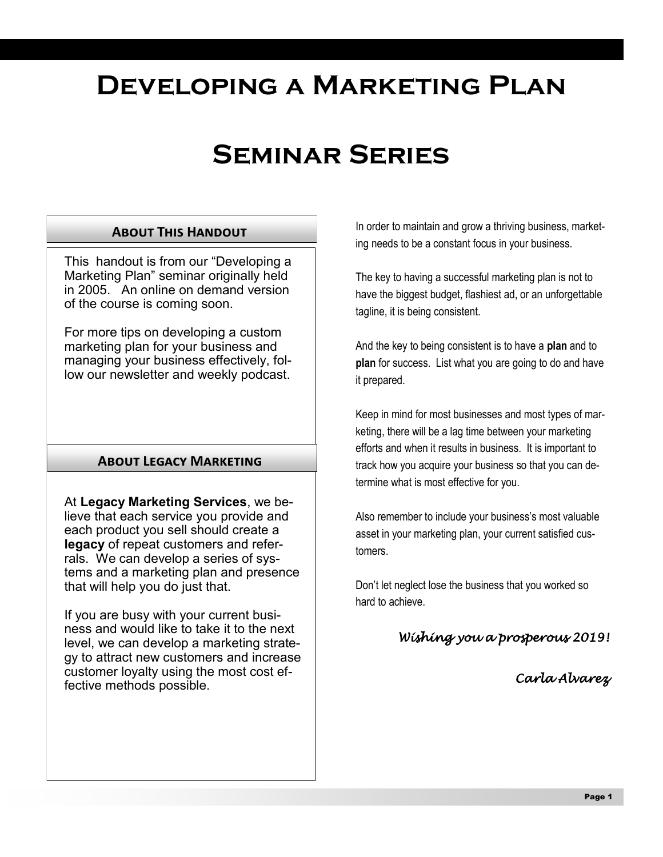# **Developing a Marketing Plan**

# **Seminar Series**

### **About This Handout**

This handout is from our "Developing a Marketing Plan" seminar originally held in 2005. An online on demand version of the course is coming soon.

For more tips on developing a custom marketing plan for your business and managing your business effectively, follow our newsletter and weekly podcast.

### **About Legacy Marketing**

At **Legacy Marketing Services**, we believe that each service you provide and each product you sell should create a **legacy** of repeat customers and referrals. We can develop a series of systems and a marketing plan and presence that will help you do just that.

If you are busy with your current business and would like to take it to the next level, we can develop a marketing strategy to attract new customers and increase customer loyalty using the most cost effective methods possible.

In order to maintain and grow a thriving business, marketing needs to be a constant focus in your business.

The key to having a successful marketing plan is not to have the biggest budget, flashiest ad, or an unforgettable tagline, it is being consistent.

And the key to being consistent is to have a **plan** and to **plan** for success. List what you are going to do and have it prepared.

Keep in mind for most businesses and most types of marketing, there will be a lag time between your marketing efforts and when it results in business. It is important to track how you acquire your business so that you can determine what is most effective for you.

Also remember to include your business's most valuable asset in your marketing plan, your current satisfied customers.

Don't let neglect lose the business that you worked so hard to achieve.

*Wishing you a prosperous 2019!* 

*Carla Alvarez*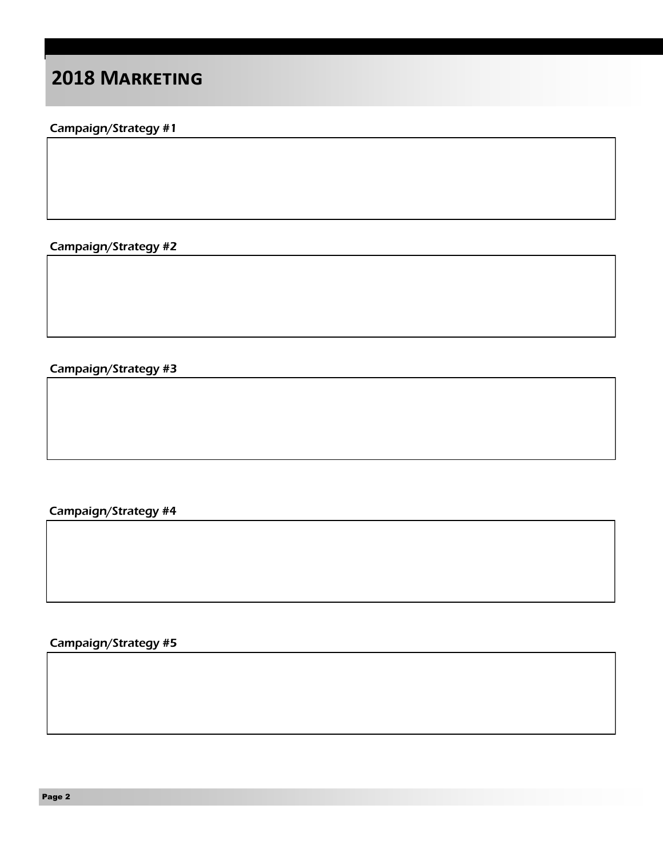### **2018 Marketing**

### Campaign/Strategy #1

Campaign/Strategy #2

Campaign/Strategy #3

Campaign/Strategy #4

Campaign/Strategy #5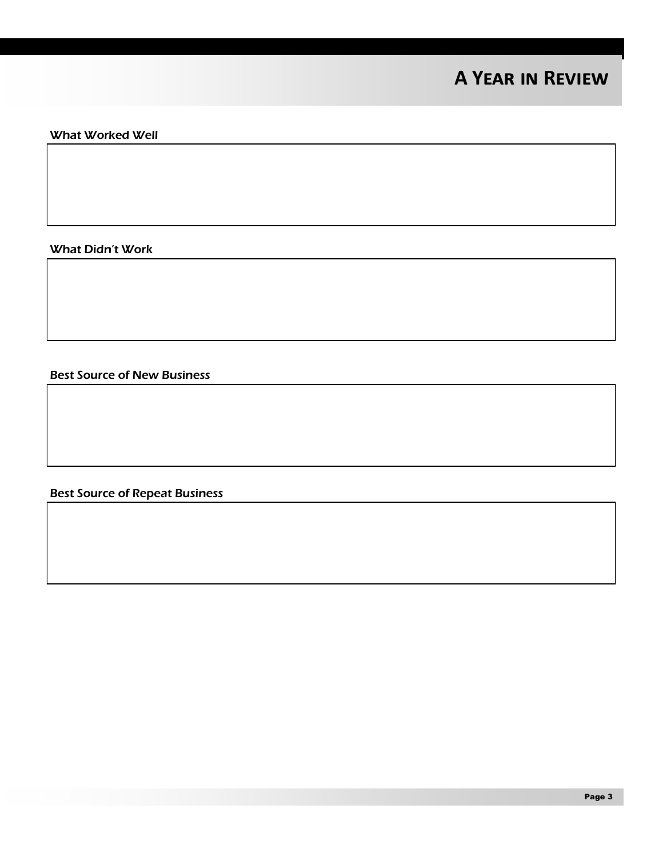## **A Year in Review**

#### What Worked Well

What Didn't Work

Best Source of New Business

Best Source of Repeat Business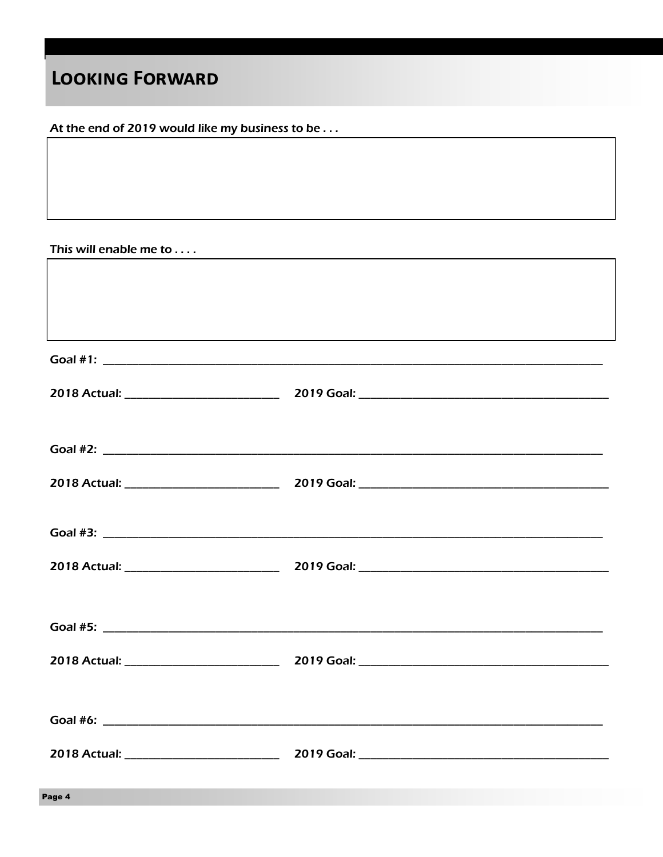## **LOOKING FORWARD**

At the end of 2019 would like my business to be . . .

This will enable me to . . . .

| Page 4 |  |
|--------|--|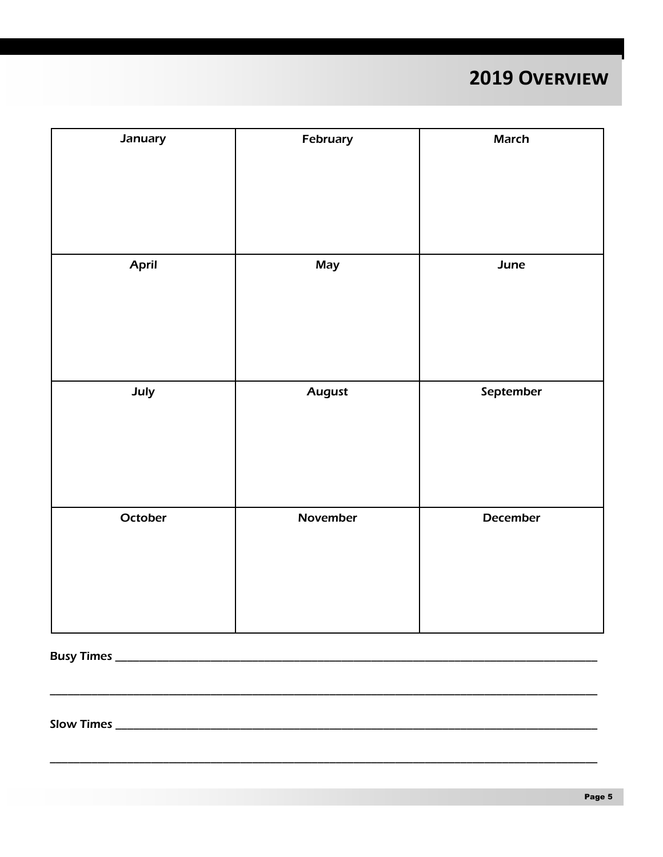# 2019 OVERVIEW

| <b>January</b> | February      | <b>March</b> |
|----------------|---------------|--------------|
| April          | May           | June         |
| July           | <b>August</b> | September    |
| October        | November      | December     |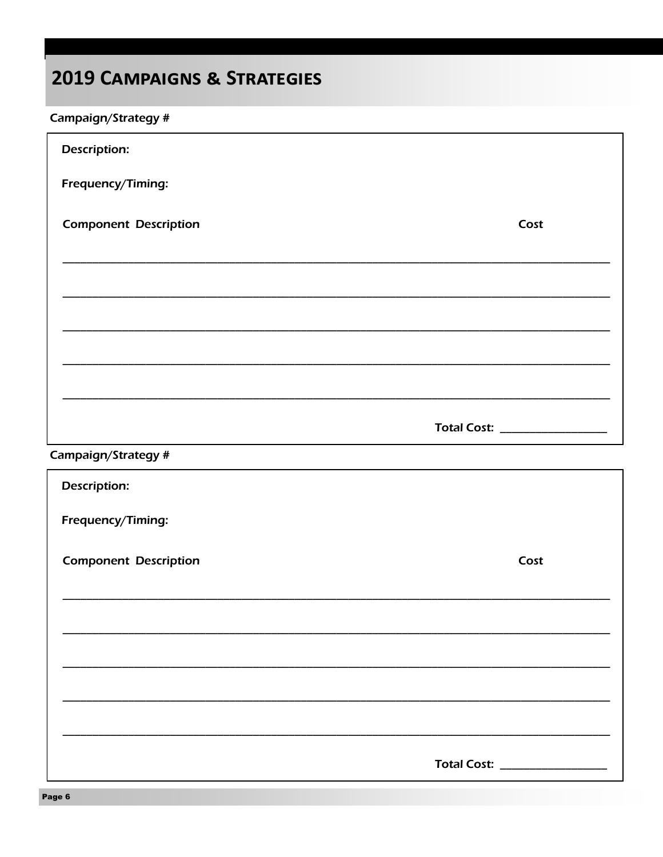# **2019 CAMPAIGNS & STRATEGIES**

### Campaign/Strategy #

| <b>Description:</b>          |                               |
|------------------------------|-------------------------------|
| Frequency/Timing:            |                               |
| <b>Component Description</b> | Cost                          |
|                              |                               |
|                              |                               |
|                              |                               |
|                              |                               |
|                              | Total Cost: _________________ |
| Campaign/Strategy #          |                               |

| <b>Description:</b>          |                               |
|------------------------------|-------------------------------|
| Frequency/Timing:            |                               |
| <b>Component Description</b> | Cost                          |
|                              |                               |
|                              |                               |
|                              |                               |
|                              |                               |
|                              | Total Cost: _________________ |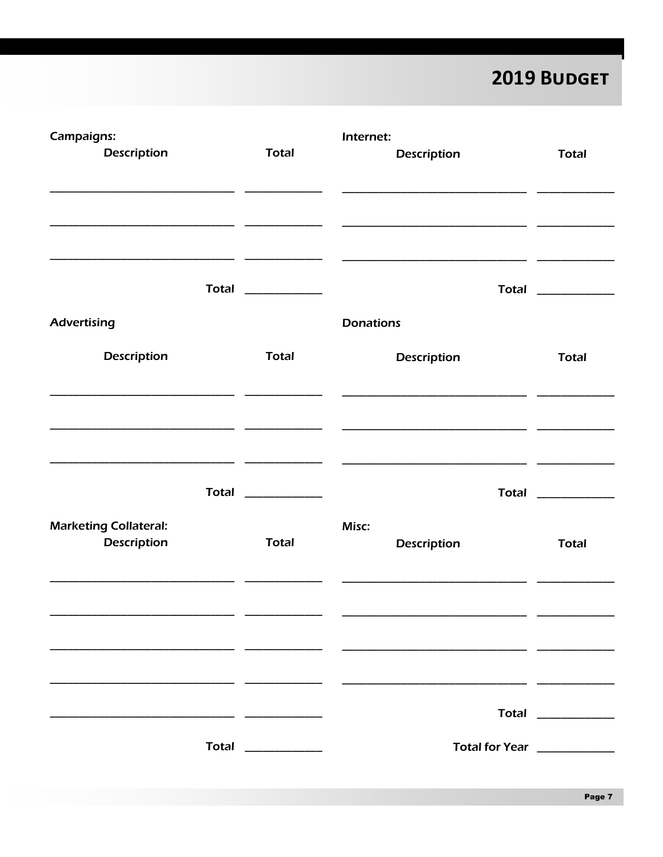2019 BUDGET

| Campaigns:                                         |                     | Internet:                                                |                     |
|----------------------------------------------------|---------------------|----------------------------------------------------------|---------------------|
| <b>Description</b>                                 | <b>Total</b>        | <b>Description</b>                                       | <b>Total</b>        |
|                                                    |                     |                                                          |                     |
|                                                    |                     | <u> 1989 - Jan Barnett, fransk politik (d. 1989)</u>     |                     |
|                                                    |                     |                                                          |                     |
|                                                    | Total ____________  |                                                          | Total _____________ |
| <b>Advertising</b>                                 |                     | <b>Donations</b>                                         |                     |
| <b>Description</b>                                 | <b>Total</b>        | <b>Description</b>                                       | <b>Total</b>        |
|                                                    |                     |                                                          |                     |
|                                                    |                     |                                                          |                     |
|                                                    |                     | <u> 1980 - Jan Stein Stein, fransk politik (f. 1980)</u> |                     |
|                                                    |                     |                                                          |                     |
|                                                    | Total _____________ |                                                          | Total ____________  |
| <b>Marketing Collateral:</b><br><b>Description</b> | <b>Total</b>        | Misc:<br><b>Description</b>                              | <b>Total</b>        |
|                                                    |                     |                                                          |                     |
|                                                    |                     |                                                          |                     |
|                                                    |                     |                                                          |                     |
|                                                    |                     |                                                          |                     |
|                                                    |                     |                                                          |                     |
|                                                    |                     |                                                          | Total ____________  |
|                                                    | Total ____________  | Total for Year ____________                              |                     |
|                                                    |                     |                                                          |                     |